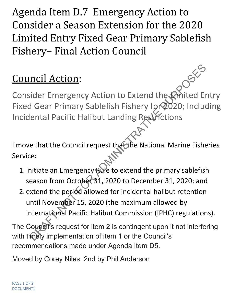Agenda Item D.7 Emergency Action to Consider a Season Extension for the 2020 Limited Entry Fixed Gear Primary Sablefish Fishery– Final Action Council

## Council Action:

Consider Emergency Action to Extend the Limited Entry Fixed Gear Primary Sablefish Fishery for 2020; Including Incidental Pacific Halibut Landing Restrictions ncil Action:<br>
Sider Emergency Action to Extend the Kimited End Gear Primary Sablefish Fishery for 2020; Includental Pacific Halibut Landing Restrictions<br>
e that the Council request that the National Marine Fishe<br>
ce:<br>
init

I move that the Council request that the National Marine Fisheries Service:

- 1. Initiate an Emergency Bule to extend the primary sablefish season from October 31, 2020 to December 31, 2020; and
- 2. extend the period allowed for incidental halibut retention until November 15, 2020 (the maximum allowed by International Pacific Halibut Commission (IPHC) regulations).

The Council's request for item 2 is contingent upon it not interfering with timely implementation of item 1 or the Council's recommendations made under Agenda Item D5.

Moved by Corey Niles; 2nd by Phil Anderson